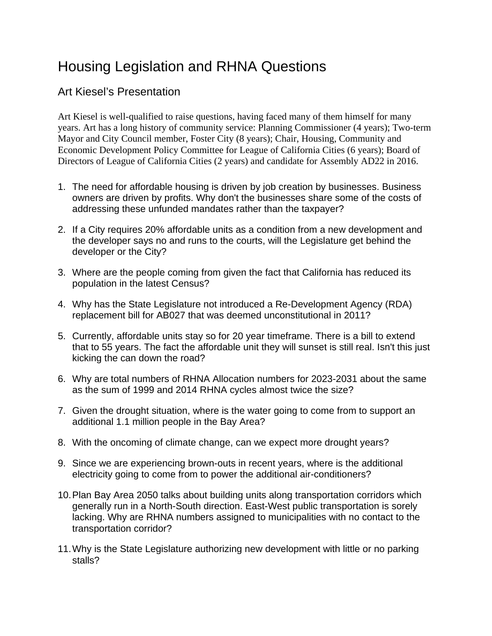## Housing Legislation and RHNA Questions

## Art Kiesel's Presentation

Art Kiesel is well-qualified to raise questions, having faced many of them himself for many years. Art has a long history of community service: Planning Commissioner (4 years); Two-term Mayor and City Council member, Foster City (8 years); Chair, Housing, Community and Economic Development Policy Committee for League of California Cities (6 years); Board of Directors of League of California Cities (2 years) and candidate for Assembly AD22 in 2016.

- 1. The need for affordable housing is driven by job creation by businesses. Business owners are driven by profits. Why don't the businesses share some of the costs of addressing these unfunded mandates rather than the taxpayer?
- 2. If a City requires 20% affordable units as a condition from a new development and the developer says no and runs to the courts, will the Legislature get behind the developer or the City?
- 3. Where are the people coming from given the fact that California has reduced its population in the latest Census?
- 4. Why has the State Legislature not introduced a Re-Development Agency (RDA) replacement bill for AB027 that was deemed unconstitutional in 2011?
- 5. Currently, affordable units stay so for 20 year timeframe. There is a bill to extend that to 55 years. The fact the affordable unit they will sunset is still real. Isn't this just kicking the can down the road?
- 6. Why are total numbers of RHNA Allocation numbers for 2023-2031 about the same as the sum of 1999 and 2014 RHNA cycles almost twice the size?
- 7. Given the drought situation, where is the water going to come from to support an additional 1.1 million people in the Bay Area?
- 8. With the oncoming of climate change, can we expect more drought years?
- 9. Since we are experiencing brown-outs in recent years, where is the additional electricity going to come from to power the additional air-conditioners?
- 10.Plan Bay Area 2050 talks about building units along transportation corridors which generally run in a North-South direction. East-West public transportation is sorely lacking. Why are RHNA numbers assigned to municipalities with no contact to the transportation corridor?
- 11.Why is the State Legislature authorizing new development with little or no parking stalls?